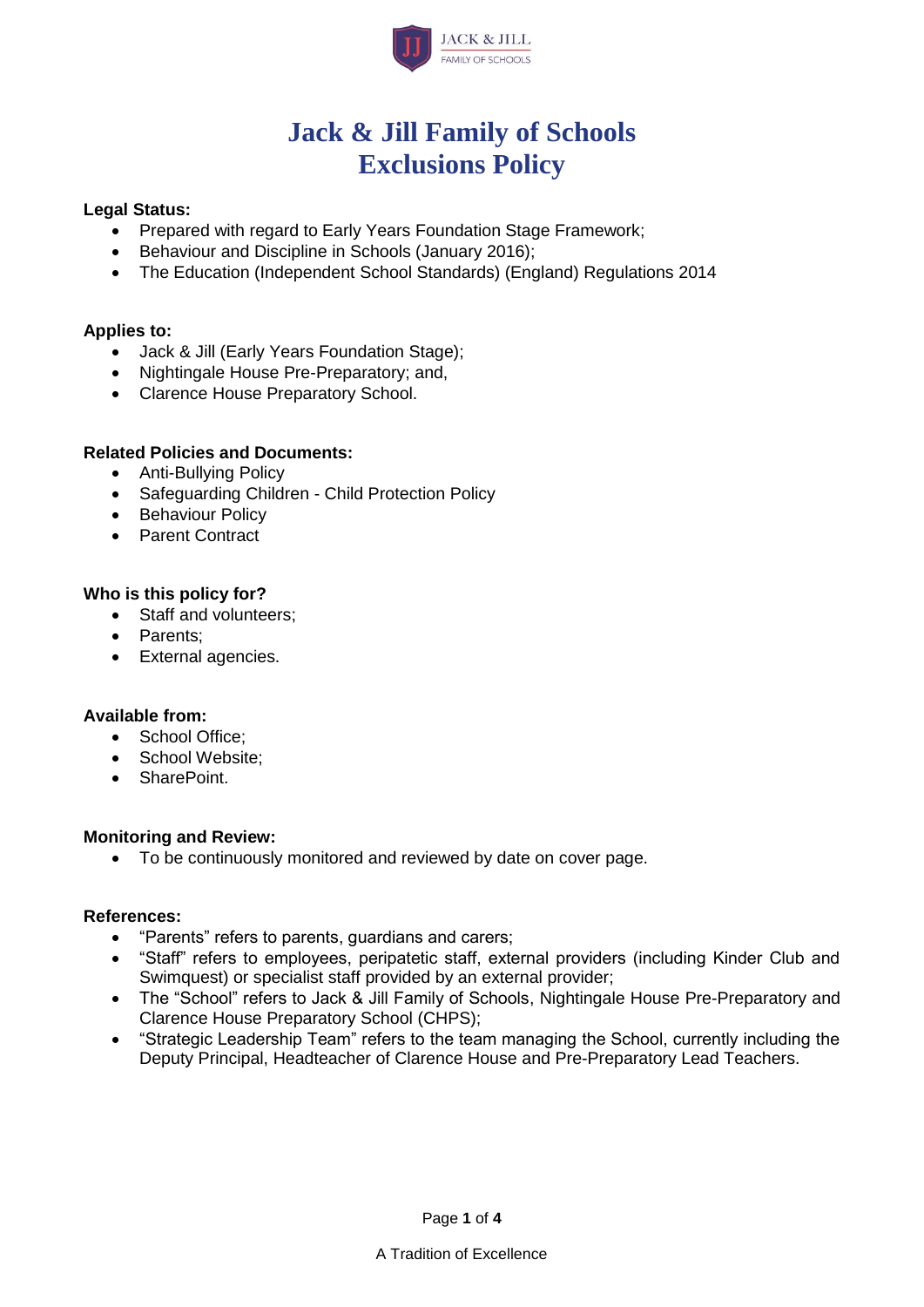

# **Jack & Jill Family of Schools Exclusions Policy**

#### **Legal Status:**

- Prepared with regard to Early Years Foundation Stage Framework:
- Behaviour and Discipline in Schools (January 2016);
- The Education (Independent School Standards) (England) Regulations 2014

#### **Applies to:**

- Jack & Jill (Early Years Foundation Stage);
- Nightingale House Pre-Preparatory; and,
- Clarence House Preparatory School.

#### **Related Policies and Documents:**

- Anti-Bullying Policy
- Safeguarding Children Child Protection Policy
- Behaviour Policy
- Parent Contract

#### **Who is this policy for?**

- Staff and volunteers;
- Parents;
- External agencies.

#### **Available from:**

- School Office:
- School Website:
- SharePoint.

#### **Monitoring and Review:**

• To be continuously monitored and reviewed by date on cover page.

## **References:**

- "Parents" refers to parents, guardians and carers;
- "Staff" refers to employees, peripatetic staff, external providers (including Kinder Club and Swimquest) or specialist staff provided by an external provider;
- The "School" refers to Jack & Jill Family of Schools, Nightingale House Pre-Preparatory and Clarence House Preparatory School (CHPS);
- "Strategic Leadership Team" refers to the team managing the School, currently including the Deputy Principal, Headteacher of Clarence House and Pre-Preparatory Lead Teachers.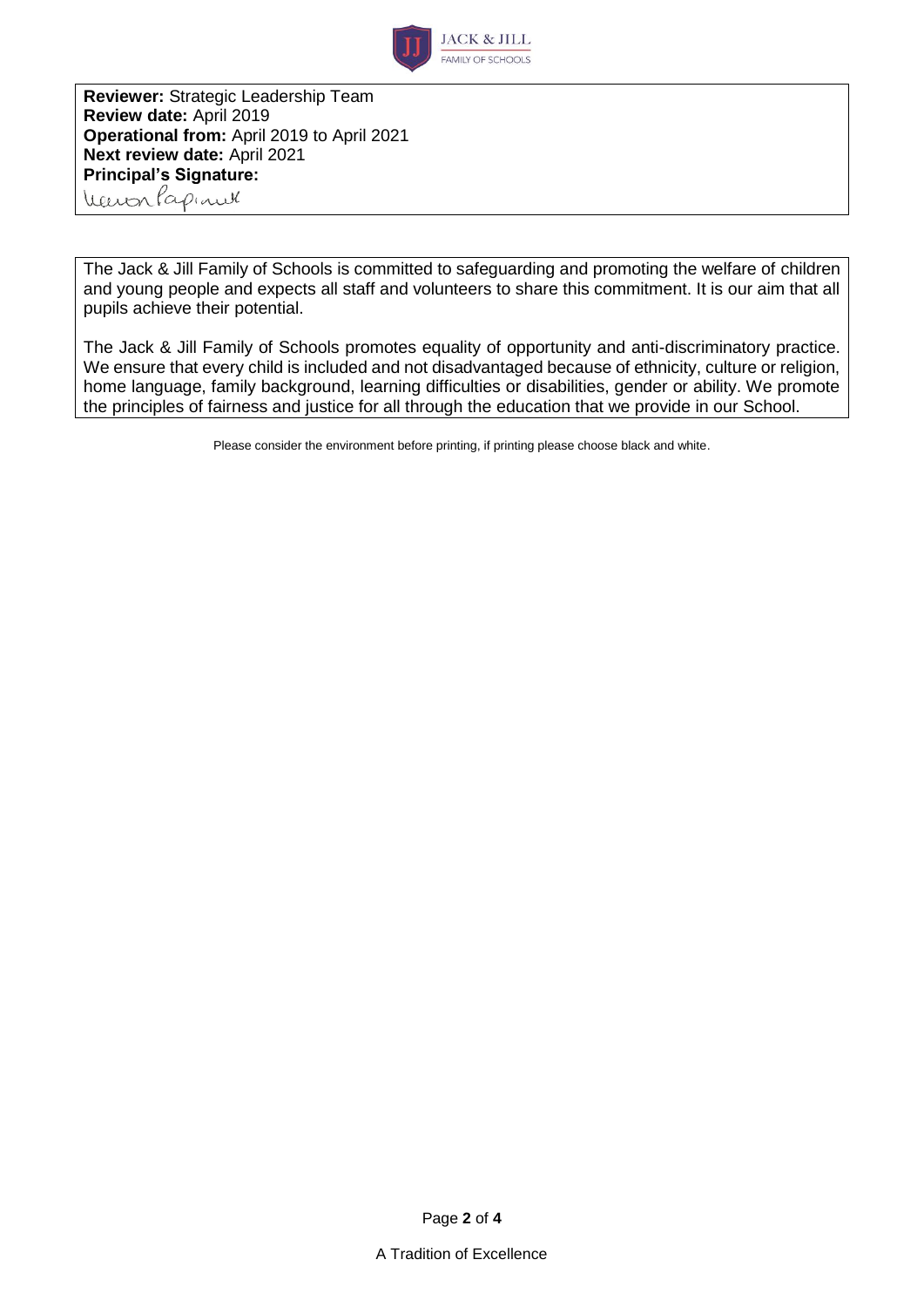

**Reviewer:** Strategic Leadership Team **Review date:** April 2019 **Operational from:** April 2019 to April 2021 **Next review date:** April 2021 **Principal's Signature:** Warren Papinel

The Jack & Jill Family of Schools is committed to safeguarding and promoting the welfare of children and young people and expects all staff and volunteers to share this commitment. It is our aim that all pupils achieve their potential.

The Jack & Jill Family of Schools promotes equality of opportunity and anti-discriminatory practice. We ensure that every child is included and not disadvantaged because of ethnicity, culture or religion, home language, family background, learning difficulties or disabilities, gender or ability. We promote the principles of fairness and justice for all through the education that we provide in our School.

Please consider the environment before printing, if printing please choose black and white.

Page **2** of **4**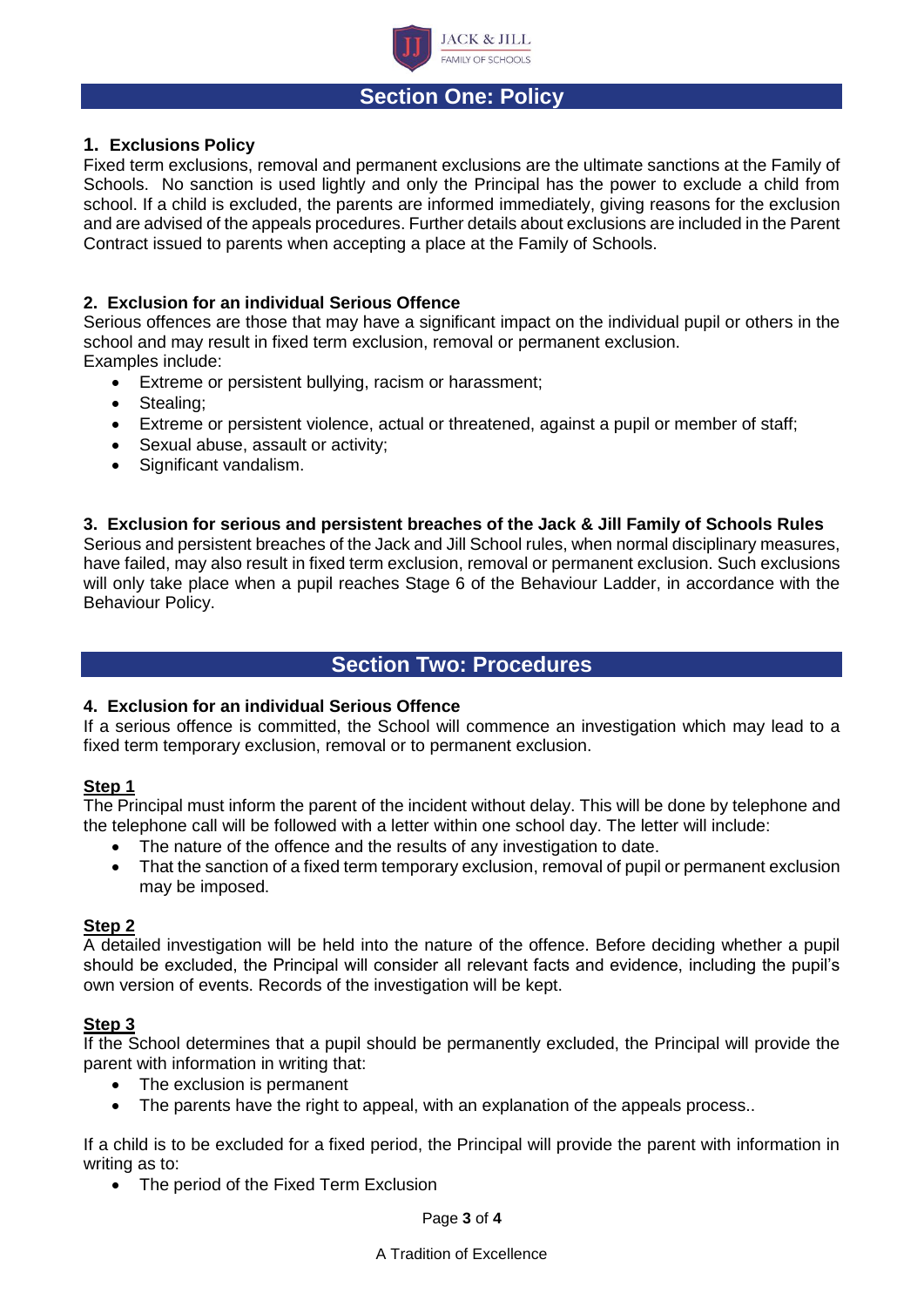

# **Section One: Policy**

## **1. Exclusions Policy**

Fixed term exclusions, removal and permanent exclusions are the ultimate sanctions at the Family of Schools. No sanction is used lightly and only the Principal has the power to exclude a child from school. If a child is excluded, the parents are informed immediately, giving reasons for the exclusion and are advised of the appeals procedures. Further details about exclusions are included in the Parent Contract issued to parents when accepting a place at the Family of Schools.

#### **2. Exclusion for an individual Serious Offence**

Serious offences are those that may have a significant impact on the individual pupil or others in the school and may result in fixed term exclusion, removal or permanent exclusion. Examples include:

- Extreme or persistent bullying, racism or harassment;
- Stealing:
- Extreme or persistent violence, actual or threatened, against a pupil or member of staff;
- Sexual abuse, assault or activity;
- Significant vandalism.

#### **3. Exclusion for serious and persistent breaches of the Jack & Jill Family of Schools Rules**

Serious and persistent breaches of the Jack and Jill School rules, when normal disciplinary measures, have failed, may also result in fixed term exclusion, removal or permanent exclusion. Such exclusions will only take place when a pupil reaches Stage 6 of the Behaviour Ladder, in accordance with the Behaviour Policy.

# **Section Two: Procedures**

#### **4. Exclusion for an individual Serious Offence**

If a serious offence is committed, the School will commence an investigation which may lead to a fixed term temporary exclusion, removal or to permanent exclusion.

#### **Step 1**

The Principal must inform the parent of the incident without delay. This will be done by telephone and the telephone call will be followed with a letter within one school day. The letter will include:

- The nature of the offence and the results of any investigation to date.
- That the sanction of a fixed term temporary exclusion, removal of pupil or permanent exclusion may be imposed.

## **Step 2**

A detailed investigation will be held into the nature of the offence. Before deciding whether a pupil should be excluded, the Principal will consider all relevant facts and evidence, including the pupil's own version of events. Records of the investigation will be kept.

#### **Step 3**

If the School determines that a pupil should be permanently excluded, the Principal will provide the parent with information in writing that:

- The exclusion is permanent
- The parents have the right to appeal, with an explanation of the appeals process..

If a child is to be excluded for a fixed period, the Principal will provide the parent with information in writing as to:

• The period of the Fixed Term Exclusion